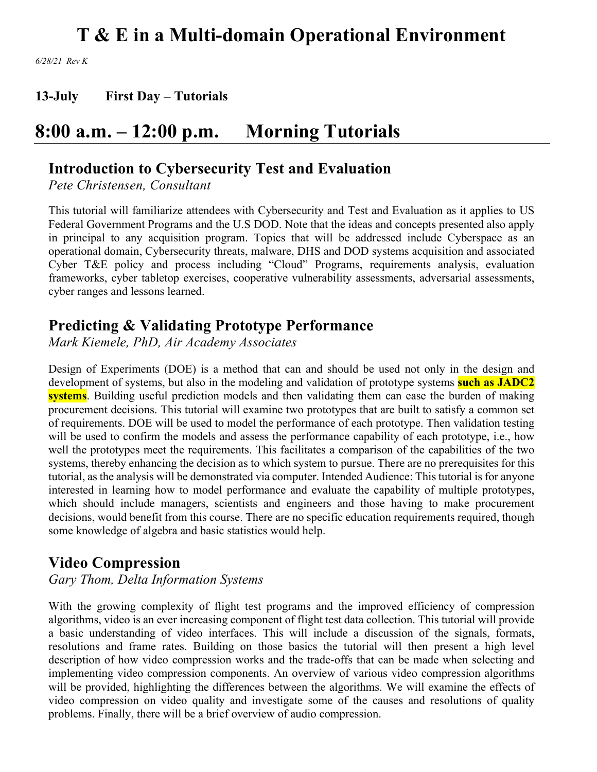*6/28/21 Rev K*

**13-July First Day – Tutorials**

# **8:00 a.m. – 12:00 p.m. Morning Tutorials**

## **Introduction to Cybersecurity Test and Evaluation**

*Pete Christensen, Consultant*

This tutorial will familiarize attendees with Cybersecurity and Test and Evaluation as it applies to US Federal Government Programs and the U.S DOD. Note that the ideas and concepts presented also apply in principal to any acquisition program. Topics that will be addressed include Cyberspace as an operational domain, Cybersecurity threats, malware, DHS and DOD systems acquisition and associated Cyber T&E policy and process including "Cloud" Programs, requirements analysis, evaluation frameworks, cyber tabletop exercises, cooperative vulnerability assessments, adversarial assessments, cyber ranges and lessons learned.

## **Predicting & Validating Prototype Performance**

*Mark Kiemele, PhD, Air Academy Associates*

Design of Experiments (DOE) is a method that can and should be used not only in the design and development of systems, but also in the modeling and validation of prototype systems **such as JADC2 systems**. Building useful prediction models and then validating them can ease the burden of making procurement decisions. This tutorial will examine two prototypes that are built to satisfy a common set of requirements. DOE will be used to model the performance of each prototype. Then validation testing will be used to confirm the models and assess the performance capability of each prototype, i.e., how well the prototypes meet the requirements. This facilitates a comparison of the capabilities of the two systems, thereby enhancing the decision as to which system to pursue. There are no prerequisites for this tutorial, as the analysis will be demonstrated via computer. Intended Audience: This tutorial is for anyone interested in learning how to model performance and evaluate the capability of multiple prototypes, which should include managers, scientists and engineers and those having to make procurement decisions, would benefit from this course. There are no specific education requirements required, though some knowledge of algebra and basic statistics would help.

## **Video Compression**

*Gary Thom, Delta Information Systems*

With the growing complexity of flight test programs and the improved efficiency of compression algorithms, video is an ever increasing component of flight test data collection. This tutorial will provide a basic understanding of video interfaces. This will include a discussion of the signals, formats, resolutions and frame rates. Building on those basics the tutorial will then present a high level description of how video compression works and the trade-offs that can be made when selecting and implementing video compression components. An overview of various video compression algorithms will be provided, highlighting the differences between the algorithms. We will examine the effects of video compression on video quality and investigate some of the causes and resolutions of quality problems. Finally, there will be a brief overview of audio compression.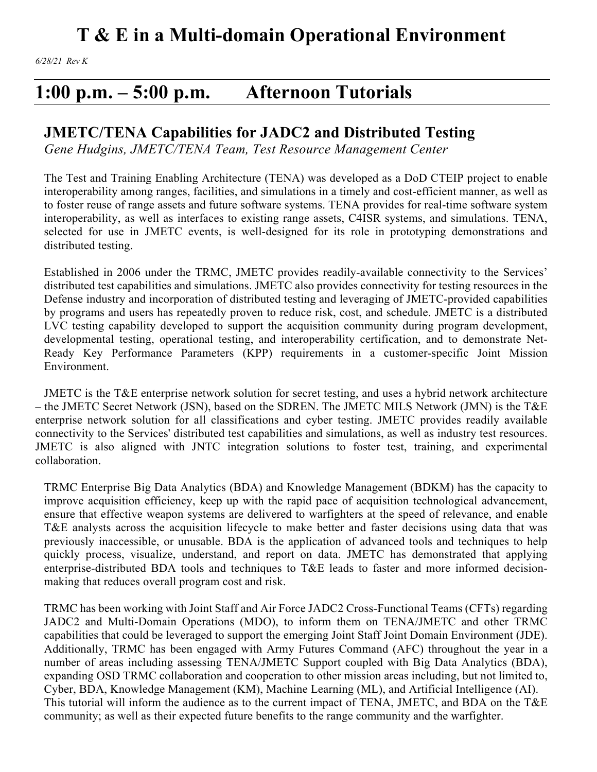# **1:00 p.m. – 5:00 p.m. Afternoon Tutorials**

## **JMETC/TENA Capabilities for JADC2 and Distributed Testing**

*Gene Hudgins, JMETC/TENA Team, Test Resource Management Center*

The Test and Training Enabling Architecture (TENA) was developed as a DoD CTEIP project to enable interoperability among ranges, facilities, and simulations in a timely and cost-efficient manner, as well as to foster reuse of range assets and future software systems. TENA provides for real-time software system interoperability, as well as interfaces to existing range assets, C4ISR systems, and simulations. TENA, selected for use in JMETC events, is well-designed for its role in prototyping demonstrations and distributed testing.

Established in 2006 under the TRMC, JMETC provides readily-available connectivity to the Services' distributed test capabilities and simulations. JMETC also provides connectivity for testing resources in the Defense industry and incorporation of distributed testing and leveraging of JMETC-provided capabilities by programs and users has repeatedly proven to reduce risk, cost, and schedule. JMETC is a distributed LVC testing capability developed to support the acquisition community during program development, developmental testing, operational testing, and interoperability certification, and to demonstrate Net-Ready Key Performance Parameters (KPP) requirements in a customer-specific Joint Mission Environment.

JMETC is the T&E enterprise network solution for secret testing, and uses a hybrid network architecture – the JMETC Secret Network (JSN), based on the SDREN. The JMETC MILS Network (JMN) is the T&E enterprise network solution for all classifications and cyber testing. JMETC provides readily available connectivity to the Services' distributed test capabilities and simulations, as well as industry test resources. JMETC is also aligned with JNTC integration solutions to foster test, training, and experimental collaboration.

TRMC Enterprise Big Data Analytics (BDA) and Knowledge Management (BDKM) has the capacity to improve acquisition efficiency, keep up with the rapid pace of acquisition technological advancement, ensure that effective weapon systems are delivered to warfighters at the speed of relevance, and enable T&E analysts across the acquisition lifecycle to make better and faster decisions using data that was previously inaccessible, or unusable. BDA is the application of advanced tools and techniques to help quickly process, visualize, understand, and report on data. JMETC has demonstrated that applying enterprise-distributed BDA tools and techniques to T&E leads to faster and more informed decisionmaking that reduces overall program cost and risk.

TRMC has been working with Joint Staff and Air Force JADC2 Cross-Functional Teams (CFTs) regarding JADC2 and Multi-Domain Operations (MDO), to inform them on TENA/JMETC and other TRMC capabilities that could be leveraged to support the emerging Joint Staff Joint Domain Environment (JDE). Additionally, TRMC has been engaged with Army Futures Command (AFC) throughout the year in a number of areas including assessing TENA/JMETC Support coupled with Big Data Analytics (BDA), expanding OSD TRMC collaboration and cooperation to other mission areas including, but not limited to, Cyber, BDA, Knowledge Management (KM), Machine Learning (ML), and Artificial Intelligence (AI). This tutorial will inform the audience as to the current impact of TENA, JMETC, and BDA on the T&E community; as well as their expected future benefits to the range community and the warfighter.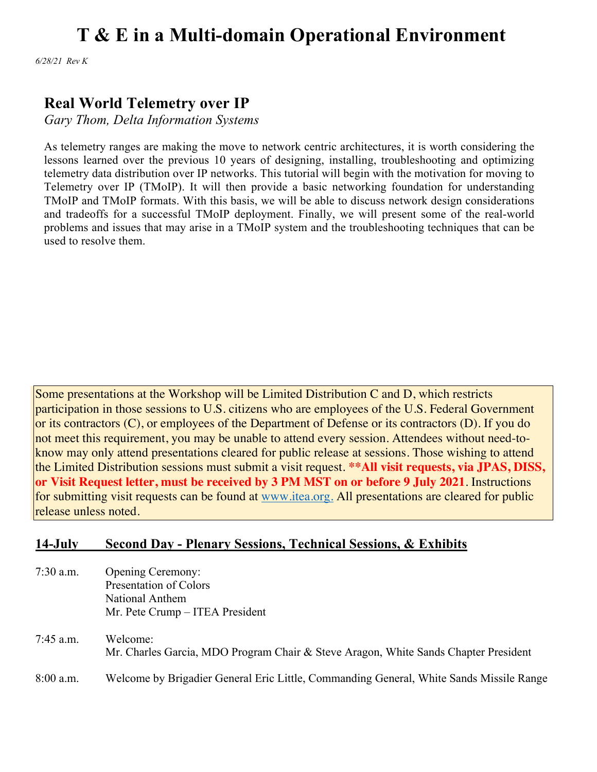*6/28/21 Rev K*

## **Real World Telemetry over IP**

*Gary Thom, Delta Information Systems*

As telemetry ranges are making the move to network centric architectures, it is worth considering the lessons learned over the previous 10 years of designing, installing, troubleshooting and optimizing telemetry data distribution over IP networks. This tutorial will begin with the motivation for moving to Telemetry over IP (TMoIP). It will then provide a basic networking foundation for understanding TMoIP and TMoIP formats. With this basis, we will be able to discuss network design considerations and tradeoffs for a successful TMoIP deployment. Finally, we will present some of the real-world problems and issues that may arise in a TMoIP system and the troubleshooting techniques that can be used to resolve them.

Some presentations at the Workshop will be Limited Distribution C and D, which restricts participation in those sessions to U.S. citizens who are employees of the U.S. Federal Government or its contractors (C), or employees of the Department of Defense or its contractors (D). If you do not meet this requirement, you may be unable to attend every session. Attendees without need-toknow may only attend presentations cleared for public release at sessions. Those wishing to attend the Limited Distribution sessions must submit a visit request. **\*\*All visit requests, via JPAS, DISS, or Visit Request letter, must be received by 3 PM MST on or before 9 July 2021**. Instructions for submitting visit requests can be found at www.itea.org. All presentations are cleared for public release unless noted.

### **14-July Second Day - Plenary Sessions, Technical Sessions, & Exhibits**

7:30 a.m. Opening Ceremony: Presentation of Colors National Anthem Mr. Pete Crump – ITEA President

7:45 a.m. Welcome: Mr. Charles Garcia, MDO Program Chair & Steve Aragon, White Sands Chapter President 8:00 a.m. Welcome by Brigadier General Eric Little, Commanding General, White Sands Missile Range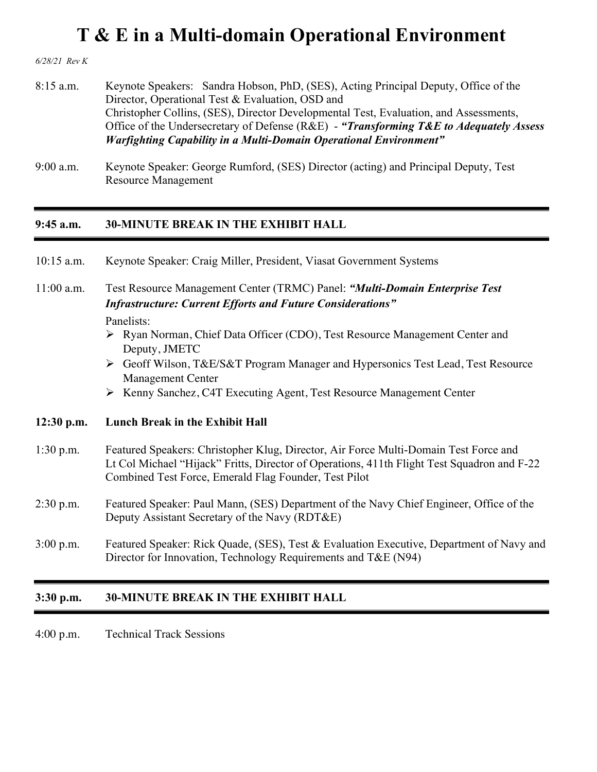*6/28/21 Rev K*

- 8:15 a.m. Keynote Speakers: Sandra Hobson, PhD, (SES), Acting Principal Deputy, Office of the Director, Operational Test & Evaluation, OSD and Christopher Collins, (SES), Director Developmental Test, Evaluation, and Assessments, Office of the Undersecretary of Defense (R&E) - *"Transforming T&E to Adequately Assess Warfighting Capability in a Multi-Domain Operational Environment"*
- 9:00 a.m. Keynote Speaker: George Rumford, (SES) Director (acting) and Principal Deputy, Test Resource Management

#### **9:45 a.m. 30-MINUTE BREAK IN THE EXHIBIT HALL**

| $10:15$ a.m. | Keynote Speaker: Craig Miller, President, Viasat Government Systems                                                                                                                                                                          |  |  |  |
|--------------|----------------------------------------------------------------------------------------------------------------------------------------------------------------------------------------------------------------------------------------------|--|--|--|
| $11:00$ a.m. | Test Resource Management Center (TRMC) Panel: "Multi-Domain Enterprise Test<br><b>Infrastructure: Current Efforts and Future Considerations"</b><br>Panelists:                                                                               |  |  |  |
|              | > Ryan Norman, Chief Data Officer (CDO), Test Resource Management Center and<br>Deputy, JMETC                                                                                                                                                |  |  |  |
|              | ► Geoff Wilson, T&E/S&T Program Manager and Hypersonics Test Lead, Test Resource<br><b>Management Center</b>                                                                                                                                 |  |  |  |
|              | ▶ Kenny Sanchez, C4T Executing Agent, Test Resource Management Center                                                                                                                                                                        |  |  |  |
| $12:30$ p.m. | <b>Lunch Break in the Exhibit Hall</b>                                                                                                                                                                                                       |  |  |  |
| $1:30$ p.m.  | Featured Speakers: Christopher Klug, Director, Air Force Multi-Domain Test Force and<br>Lt Col Michael "Hijack" Fritts, Director of Operations, 411th Flight Test Squadron and F-22<br>Combined Test Force, Emerald Flag Founder, Test Pilot |  |  |  |
| $2:30$ p.m.  | Featured Speaker: Paul Mann, (SES) Department of the Navy Chief Engineer, Office of the<br>Deputy Assistant Secretary of the Navy (RDT&E)                                                                                                    |  |  |  |
| $3:00$ p.m.  | Featured Speaker: Rick Quade, (SES), Test & Evaluation Executive, Department of Navy and<br>Director for Innovation, Technology Requirements and T&E (N94)                                                                                   |  |  |  |
|              |                                                                                                                                                                                                                                              |  |  |  |

### **3:30 p.m. 30-MINUTE BREAK IN THE EXHIBIT HALL**

4:00 p.m. Technical Track Sessions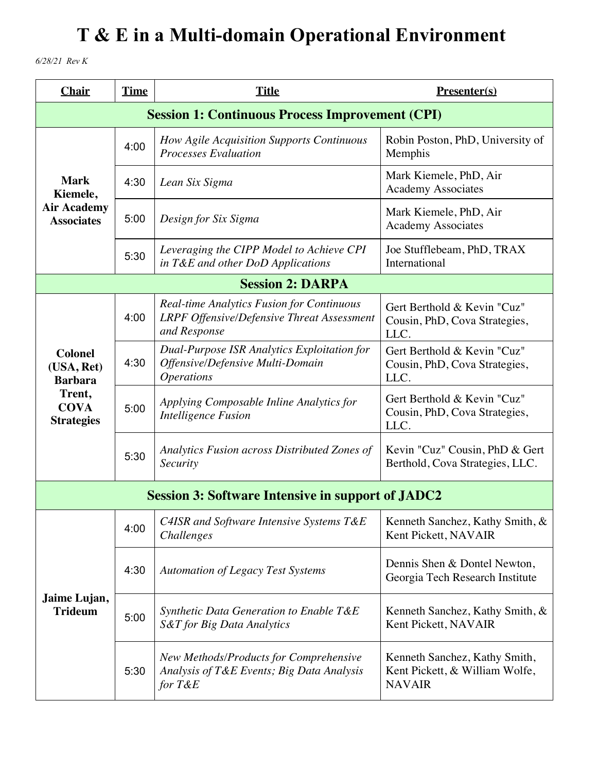*6/28/21 Rev K*

| <b>Chair</b>                                   | <b>Time</b> | <b>Title</b>                                                                                                          | Presenter(s)                                                                     |
|------------------------------------------------|-------------|-----------------------------------------------------------------------------------------------------------------------|----------------------------------------------------------------------------------|
|                                                |             | <b>Session 1: Continuous Process Improvement (CPI)</b>                                                                |                                                                                  |
|                                                | 4:00        | How Agile Acquisition Supports Continuous<br><b>Processes Evaluation</b>                                              | Robin Poston, PhD, University of<br>Memphis                                      |
| <b>Mark</b><br>Kiemele,                        | 4:30        | Lean Six Sigma                                                                                                        | Mark Kiemele, PhD, Air<br><b>Academy Associates</b>                              |
| <b>Air Academy</b><br><b>Associates</b>        | 5:00        | Design for Six Sigma                                                                                                  | Mark Kiemele, PhD, Air<br><b>Academy Associates</b>                              |
|                                                | 5:30        | Leveraging the CIPP Model to Achieve CPI<br>in T&E and other DoD Applications                                         | Joe Stufflebeam, PhD, TRAX<br>International                                      |
|                                                |             | <b>Session 2: DARPA</b>                                                                                               |                                                                                  |
|                                                | 4:00        | <b>Real-time Analytics Fusion for Continuous</b><br><b>LRPF Offensive/Defensive Threat Assessment</b><br>and Response | Gert Berthold & Kevin "Cuz"<br>Cousin, PhD, Cova Strategies,<br>LLC.             |
| <b>Colonel</b><br>(USA, Ret)<br><b>Barbara</b> | 4:30        | <b>Dual-Purpose ISR Analytics Exploitation for</b><br>Offensive/Defensive Multi-Domain<br><i><b>Operations</b></i>    | Gert Berthold & Kevin "Cuz"<br>Cousin, PhD, Cova Strategies,<br>LLC.             |
| Trent,<br><b>COVA</b><br><b>Strategies</b>     | 5:00        | Applying Composable Inline Analytics for<br><b>Intelligence Fusion</b>                                                | Gert Berthold & Kevin "Cuz"<br>Cousin, PhD, Cova Strategies,<br>LLC.             |
|                                                | 5:30        | Analytics Fusion across Distributed Zones of<br>Security                                                              | Kevin "Cuz" Cousin, PhD & Gert<br>Berthold, Cova Strategies, LLC.                |
|                                                |             | <b>Session 3: Software Intensive in support of JADC2</b>                                                              |                                                                                  |
|                                                | 4:00        | C4ISR and Software Intensive Systems T&E<br>Challenges                                                                | Kenneth Sanchez, Kathy Smith, &<br>Kent Pickett, NAVAIR                          |
|                                                | 4:30        | <b>Automation of Legacy Test Systems</b>                                                                              | Dennis Shen & Dontel Newton,<br>Georgia Tech Research Institute                  |
| Jaime Lujan,<br><b>Trideum</b>                 | 5:00        | Synthetic Data Generation to Enable T&E<br>S&T for Big Data Analytics                                                 | Kenneth Sanchez, Kathy Smith, &<br>Kent Pickett, NAVAIR                          |
|                                                | 5:30        | New Methods/Products for Comprehensive<br>Analysis of T&E Events; Big Data Analysis<br>for $T\&E$                     | Kenneth Sanchez, Kathy Smith,<br>Kent Pickett, & William Wolfe,<br><b>NAVAIR</b> |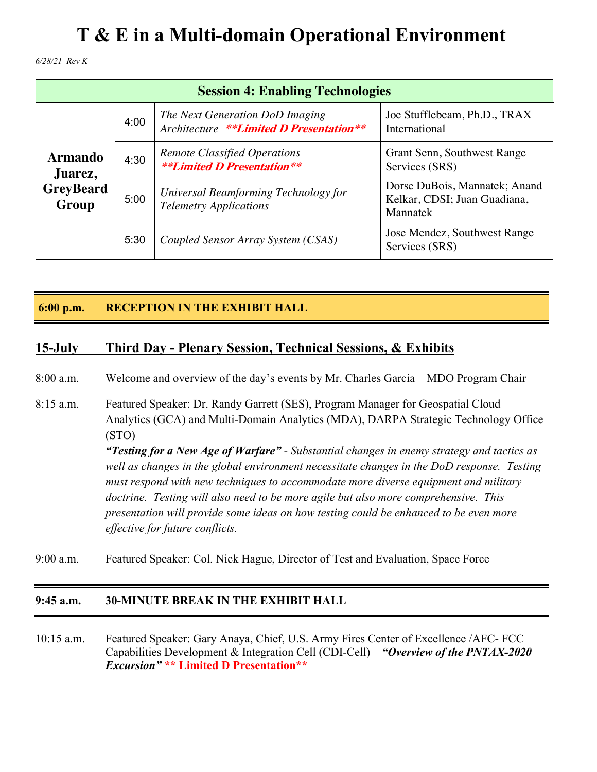*6/28/21 Rev K*

| <b>Session 4: Enabling Technologies</b> |      |                                                                            |                                                                           |
|-----------------------------------------|------|----------------------------------------------------------------------------|---------------------------------------------------------------------------|
|                                         | 4:00 | The Next Generation DoD Imaging<br>Architecture **Limited D Presentation** | Joe Stufflebeam, Ph.D., TRAX<br>International                             |
| <b>Armando</b><br>Juarez,               | 4:30 | <b>Remote Classified Operations</b><br><b>**Limited D Presentation**</b>   | Grant Senn, Southwest Range<br>Services (SRS)                             |
| <b>GreyBeard</b><br>Group               | 5:00 | Universal Beamforming Technology for<br><b>Telemetry Applications</b>      | Dorse DuBois, Mannatek; Anand<br>Kelkar, CDSI; Juan Guadiana,<br>Mannatek |
|                                         | 5:30 | Coupled Sensor Array System (CSAS)                                         | Jose Mendez, Southwest Range<br>Services (SRS)                            |

### **6:00 p.m. RECEPTION IN THE EXHIBIT HALL**

### **15-July Third Day - Plenary Session, Technical Sessions, & Exhibits**

8:00 a.m. Welcome and overview of the day's events by Mr. Charles Garcia – MDO Program Chair

- 8:15 a.m. Featured Speaker: Dr. Randy Garrett (SES), Program Manager for Geospatial Cloud Analytics (GCA) and Multi-Domain Analytics (MDA), DARPA Strategic Technology Office (STO) *"Testing for a New Age of Warfare" - Substantial changes in enemy strategy and tactics as well as changes in the global environment necessitate changes in the DoD response. Testing must respond with new techniques to accommodate more diverse equipment and military doctrine. Testing will also need to be more agile but also more comprehensive. This presentation will provide some ideas on how testing could be enhanced to be even more effective for future conflicts.*
- 9:00 a.m. Featured Speaker: Col. Nick Hague, Director of Test and Evaluation, Space Force

#### **9:45 a.m. 30-MINUTE BREAK IN THE EXHIBIT HALL**

10:15 a.m. Featured Speaker: Gary Anaya, Chief, U.S. Army Fires Center of Excellence /AFC- FCC Capabilities Development & Integration Cell (CDI-Cell) – *"Overview of the PNTAX-2020 Excursion"* **\*\* Limited D Presentation\*\***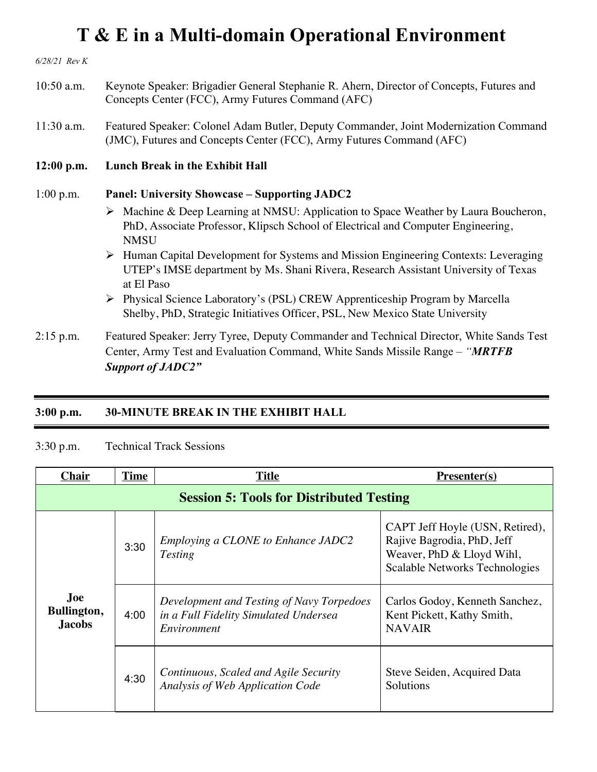*6/28/21 Rev K* 10:50 a.m. Keynote Speaker: Brigadier General Stephanie R. Ahern, Director of Concepts, Futures and Concepts Center (FCC), Army Futures Command (AFC) 11:30 a.m. Featured Speaker: Colonel Adam Butler, Deputy Commander, Joint Modernization Command (JMC), Futures and Concepts Center (FCC), Army Futures Command (AFC) **12:00 p.m. Lunch Break in the Exhibit Hall** 1:00 p.m. **Panel: University Showcase – Supporting JADC2**  Ø Machine & Deep Learning at NMSU: Application to Space Weather by Laura Boucheron, PhD, Associate Professor, Klipsch School of Electrical and Computer Engineering, **NMSU** Ø Human Capital Development for Systems and Mission Engineering Contexts: Leveraging UTEP's IMSE department by Ms. Shani Rivera, Research Assistant University of Texas at El Paso Ø Physical Science Laboratory's (PSL) CREW Apprenticeship Program by Marcella Shelby, PhD, Strategic Initiatives Officer, PSL, New Mexico State University 2:15 p.m. Featured Speaker: Jerry Tyree, Deputy Commander and Technical Director, White Sands Test

Center, Army Test and Evaluation Command, White Sands Missile Range – *"MRTFB Support of JADC2"*

#### **3:00 p.m. 30-MINUTE BREAK IN THE EXHIBIT HALL**

#### 3:30 p.m. Technical Track Sessions

| <b>Chair</b>                                    | <b>Time</b> | <b>Title</b>                                                                                      | $Presenter(s)$                                                                                                               |
|-------------------------------------------------|-------------|---------------------------------------------------------------------------------------------------|------------------------------------------------------------------------------------------------------------------------------|
| <b>Session 5: Tools for Distributed Testing</b> |             |                                                                                                   |                                                                                                                              |
|                                                 | 3:30        | Employing a CLONE to Enhance JADC2<br><b>Testing</b>                                              | CAPT Jeff Hoyle (USN, Retired),<br>Rajive Bagrodia, PhD, Jeff<br>Weaver, PhD & Lloyd Wihl,<br>Scalable Networks Technologies |
| Joe<br>Bullington,<br><b>Jacobs</b>             | 4:00        | Development and Testing of Navy Torpedoes<br>in a Full Fidelity Simulated Undersea<br>Environment | Carlos Godoy, Kenneth Sanchez,<br>Kent Pickett, Kathy Smith,<br><b>NAVAIR</b>                                                |
|                                                 | 4:30        | Continuous, Scaled and Agile Security<br>Analysis of Web Application Code                         | Steve Seiden, Acquired Data<br>Solutions                                                                                     |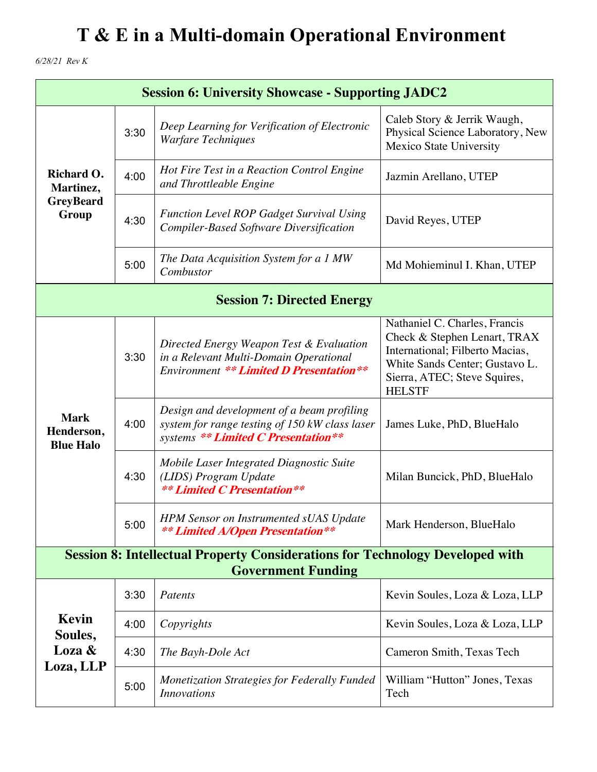*6/28/21 Rev K*

| <b>Session 6: University Showcase - Supporting JADC2</b>                                                          |      |                                                                                                                                      |                                                                                                                                                                                     |
|-------------------------------------------------------------------------------------------------------------------|------|--------------------------------------------------------------------------------------------------------------------------------------|-------------------------------------------------------------------------------------------------------------------------------------------------------------------------------------|
| Richard O.<br>Martinez,<br><b>GreyBeard</b><br>Group                                                              | 3:30 | Deep Learning for Verification of Electronic<br><b>Warfare Techniques</b>                                                            | Caleb Story & Jerrik Waugh,<br>Physical Science Laboratory, New<br>Mexico State University                                                                                          |
|                                                                                                                   | 4:00 | Hot Fire Test in a Reaction Control Engine<br>and Throttleable Engine                                                                | Jazmin Arellano, UTEP                                                                                                                                                               |
|                                                                                                                   | 4:30 | <b>Function Level ROP Gadget Survival Using</b><br><b>Compiler-Based Software Diversification</b>                                    | David Reyes, UTEP                                                                                                                                                                   |
|                                                                                                                   | 5:00 | The Data Acquisition System for a 1 MW<br>Combustor                                                                                  | Md Mohieminul I. Khan, UTEP                                                                                                                                                         |
| <b>Session 7: Directed Energy</b>                                                                                 |      |                                                                                                                                      |                                                                                                                                                                                     |
| <b>Mark</b><br>Henderson,<br><b>Blue Halo</b>                                                                     | 3:30 | Directed Energy Weapon Test & Evaluation<br>in a Relevant Multi-Domain Operational<br><b>Environment ** Limited D Presentation**</b> | Nathaniel C. Charles, Francis<br>Check & Stephen Lenart, TRAX<br>International; Filberto Macias,<br>White Sands Center; Gustavo L.<br>Sierra, ATEC; Steve Squires,<br><b>HELSTF</b> |
|                                                                                                                   | 4:00 | Design and development of a beam profiling<br>system for range testing of 150 kW class laser<br>systems ** Limited C Presentation**  | James Luke, PhD, BlueHalo                                                                                                                                                           |
|                                                                                                                   | 4:30 | Mobile Laser Integrated Diagnostic Suite<br>(LIDS) Program Update<br><b>** Limited C Presentation**</b>                              | Milan Buncick, PhD, BlueHalo                                                                                                                                                        |
|                                                                                                                   | 5:00 | <b>HPM Sensor on Instrumented sUAS Update</b><br><b>** Limited A/Open Presentation**</b>                                             | Mark Henderson, BlueHalo                                                                                                                                                            |
| <b>Session 8: Intellectual Property Considerations for Technology Developed with</b><br><b>Government Funding</b> |      |                                                                                                                                      |                                                                                                                                                                                     |
|                                                                                                                   | 3:30 | Patents                                                                                                                              | Kevin Soules, Loza & Loza, LLP                                                                                                                                                      |
| Kevin<br>Soules,                                                                                                  | 4:00 | Copyrights                                                                                                                           | Kevin Soules, Loza & Loza, LLP                                                                                                                                                      |
| Loza &                                                                                                            | 4:30 | The Bayh-Dole Act                                                                                                                    | Cameron Smith, Texas Tech                                                                                                                                                           |
| Loza, LLP                                                                                                         | 5:00 | Monetization Strategies for Federally Funded<br><b>Innovations</b>                                                                   | William "Hutton" Jones, Texas<br>Tech                                                                                                                                               |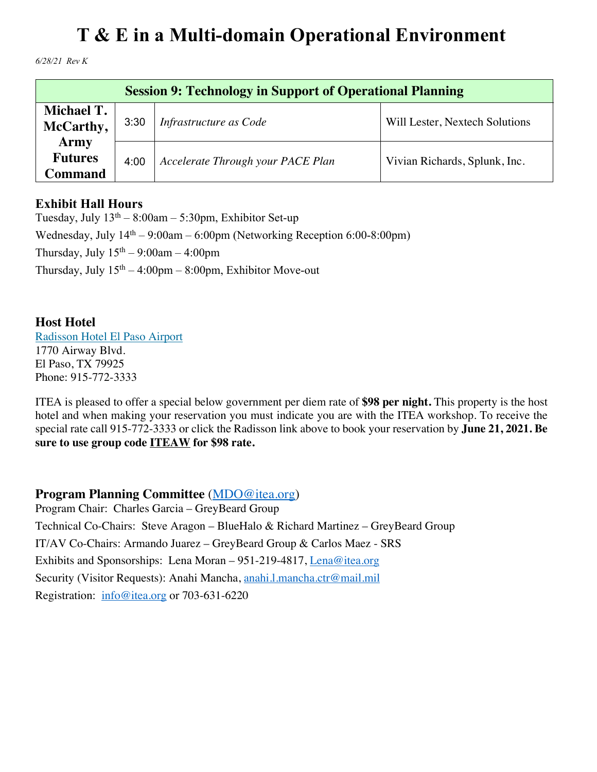*6/28/21 Rev K*

| <b>Session 9: Technology in Support of Operational Planning</b> |      |                                   |                                |
|-----------------------------------------------------------------|------|-----------------------------------|--------------------------------|
| Michael T.<br>McCarthy,                                         | 3:30 | Infrastructure as Code            | Will Lester, Nextech Solutions |
| <b>Army</b><br><b>Futures</b><br>Command                        | 4:00 | Accelerate Through your PACE Plan | Vivian Richards, Splunk, Inc.  |

### **Exhibit Hall Hours**

Tuesday, July  $13<sup>th</sup> - 8:00am - 5:30pm$ , Exhibitor Set-up Wednesday, July  $14<sup>th</sup> - 9:00$ am – 6:00pm (Networking Reception 6:00-8:00pm) Thursday, July  $15<sup>th</sup> - 9:00am - 4:00pm$ Thursday, July  $15<sup>th</sup> - 4:00<sub>pm</sub> - 8:00<sub>pm</sub>$ , Exhibitor Move-out

#### **Host Hotel**

Radisson Hotel El Paso Airport 1770 Airway Blvd. El Paso, TX 79925 Phone: 915-772-3333

ITEA is pleased to offer a special below government per diem rate of **\$98 per night.** This property is the host hotel and when making your reservation you must indicate you are with the ITEA workshop. To receive the special rate call 915-772-3333 or click the Radisson link above to book your reservation by **June 21, 2021. Be sure to use group code ITEAW for \$98 rate.**

### **Program Planning Committee** (MDO@itea.org)

Program Chair: Charles Garcia – GreyBeard Group Technical Co-Chairs: Steve Aragon – BlueHalo & Richard Martinez – GreyBeard Group IT/AV Co-Chairs: Armando Juarez – GreyBeard Group & Carlos Maez - SRS Exhibits and Sponsorships: Lena Moran – 951-219-4817, Lena@itea.org Security (Visitor Requests): Anahi Mancha, anahi.l.mancha.ctr@mail.mil Registration: info@itea.org or 703-631-6220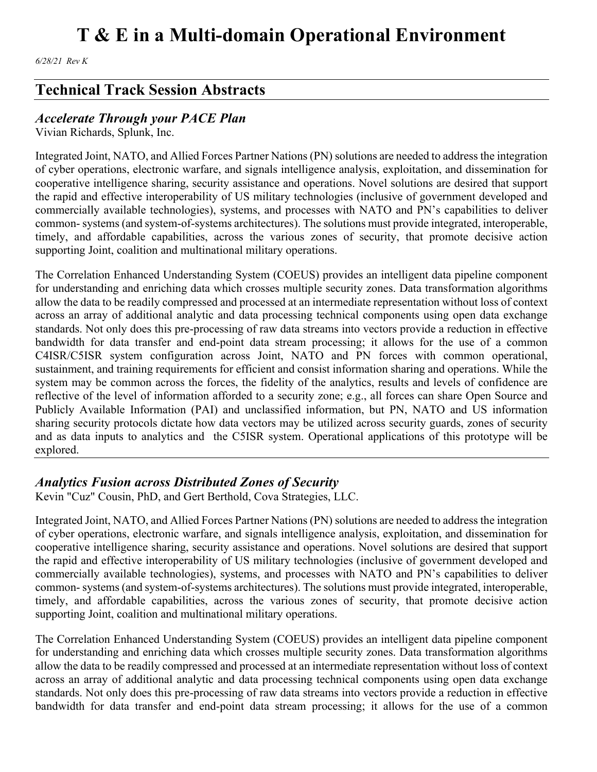*6/28/21 Rev K*

## **Technical Track Session Abstracts**

### *Accelerate Through your PACE Plan*

Vivian Richards, Splunk, Inc.

Integrated Joint, NATO, and Allied Forces Partner Nations (PN) solutions are needed to address the integration of cyber operations, electronic warfare, and signals intelligence analysis, exploitation, and dissemination for cooperative intelligence sharing, security assistance and operations. Novel solutions are desired that support the rapid and effective interoperability of US military technologies (inclusive of government developed and commercially available technologies), systems, and processes with NATO and PN's capabilities to deliver common- systems (and system-of-systems architectures). The solutions must provide integrated, interoperable, timely, and affordable capabilities, across the various zones of security, that promote decisive action supporting Joint, coalition and multinational military operations.

The Correlation Enhanced Understanding System (COEUS) provides an intelligent data pipeline component for understanding and enriching data which crosses multiple security zones. Data transformation algorithms allow the data to be readily compressed and processed at an intermediate representation without loss of context across an array of additional analytic and data processing technical components using open data exchange standards. Not only does this pre-processing of raw data streams into vectors provide a reduction in effective bandwidth for data transfer and end-point data stream processing; it allows for the use of a common C4ISR/C5ISR system configuration across Joint, NATO and PN forces with common operational, sustainment, and training requirements for efficient and consist information sharing and operations. While the system may be common across the forces, the fidelity of the analytics, results and levels of confidence are reflective of the level of information afforded to a security zone; e.g., all forces can share Open Source and Publicly Available Information (PAI) and unclassified information, but PN, NATO and US information sharing security protocols dictate how data vectors may be utilized across security guards, zones of security and as data inputs to analytics and the C5ISR system. Operational applications of this prototype will be explored.

### *Analytics Fusion across Distributed Zones of Security*

Kevin "Cuz" Cousin, PhD, and Gert Berthold, Cova Strategies, LLC.

Integrated Joint, NATO, and Allied Forces Partner Nations (PN) solutions are needed to address the integration of cyber operations, electronic warfare, and signals intelligence analysis, exploitation, and dissemination for cooperative intelligence sharing, security assistance and operations. Novel solutions are desired that support the rapid and effective interoperability of US military technologies (inclusive of government developed and commercially available technologies), systems, and processes with NATO and PN's capabilities to deliver common- systems (and system-of-systems architectures). The solutions must provide integrated, interoperable, timely, and affordable capabilities, across the various zones of security, that promote decisive action supporting Joint, coalition and multinational military operations.

The Correlation Enhanced Understanding System (COEUS) provides an intelligent data pipeline component for understanding and enriching data which crosses multiple security zones. Data transformation algorithms allow the data to be readily compressed and processed at an intermediate representation without loss of context across an array of additional analytic and data processing technical components using open data exchange standards. Not only does this pre-processing of raw data streams into vectors provide a reduction in effective bandwidth for data transfer and end-point data stream processing; it allows for the use of a common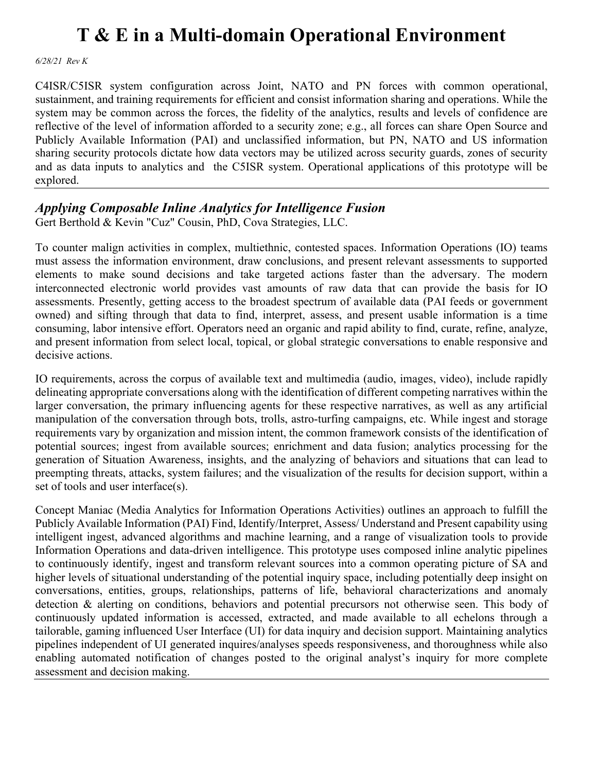*6/28/21 Rev K*

C4ISR/C5ISR system configuration across Joint, NATO and PN forces with common operational, sustainment, and training requirements for efficient and consist information sharing and operations. While the system may be common across the forces, the fidelity of the analytics, results and levels of confidence are reflective of the level of information afforded to a security zone; e.g., all forces can share Open Source and Publicly Available Information (PAI) and unclassified information, but PN, NATO and US information sharing security protocols dictate how data vectors may be utilized across security guards, zones of security and as data inputs to analytics and the C5ISR system. Operational applications of this prototype will be explored.

### *Applying Composable Inline Analytics for Intelligence Fusion*

Gert Berthold & Kevin "Cuz" Cousin, PhD, Cova Strategies, LLC.

To counter malign activities in complex, multiethnic, contested spaces. Information Operations (IO) teams must assess the information environment, draw conclusions, and present relevant assessments to supported elements to make sound decisions and take targeted actions faster than the adversary. The modern interconnected electronic world provides vast amounts of raw data that can provide the basis for IO assessments. Presently, getting access to the broadest spectrum of available data (PAI feeds or government owned) and sifting through that data to find, interpret, assess, and present usable information is a time consuming, labor intensive effort. Operators need an organic and rapid ability to find, curate, refine, analyze, and present information from select local, topical, or global strategic conversations to enable responsive and decisive actions.

IO requirements, across the corpus of available text and multimedia (audio, images, video), include rapidly delineating appropriate conversations along with the identification of different competing narratives within the larger conversation, the primary influencing agents for these respective narratives, as well as any artificial manipulation of the conversation through bots, trolls, astro-turfing campaigns, etc. While ingest and storage requirements vary by organization and mission intent, the common framework consists of the identification of potential sources; ingest from available sources; enrichment and data fusion; analytics processing for the generation of Situation Awareness, insights, and the analyzing of behaviors and situations that can lead to preempting threats, attacks, system failures; and the visualization of the results for decision support, within a set of tools and user interface(s).

Concept Maniac (Media Analytics for Information Operations Activities) outlines an approach to fulfill the Publicly Available Information (PAI) Find, Identify/Interpret, Assess/ Understand and Present capability using intelligent ingest, advanced algorithms and machine learning, and a range of visualization tools to provide Information Operations and data-driven intelligence. This prototype uses composed inline analytic pipelines to continuously identify, ingest and transform relevant sources into a common operating picture of SA and higher levels of situational understanding of the potential inquiry space, including potentially deep insight on conversations, entities, groups, relationships, patterns of life, behavioral characterizations and anomaly detection & alerting on conditions, behaviors and potential precursors not otherwise seen. This body of continuously updated information is accessed, extracted, and made available to all echelons through a tailorable, gaming influenced User Interface (UI) for data inquiry and decision support. Maintaining analytics pipelines independent of UI generated inquires/analyses speeds responsiveness, and thoroughness while also enabling automated notification of changes posted to the original analyst's inquiry for more complete assessment and decision making.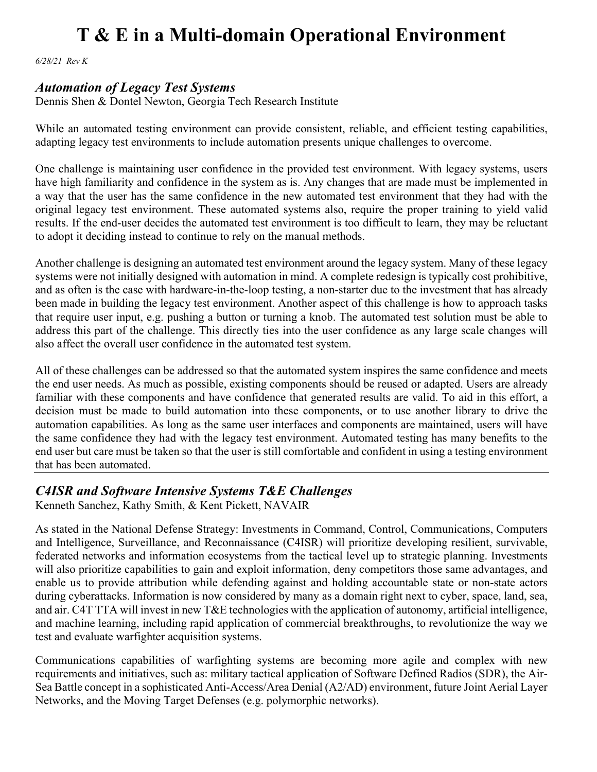*6/28/21 Rev K*

#### *Automation of Legacy Test Systems*

Dennis Shen & Dontel Newton, Georgia Tech Research Institute

While an automated testing environment can provide consistent, reliable, and efficient testing capabilities, adapting legacy test environments to include automation presents unique challenges to overcome.

One challenge is maintaining user confidence in the provided test environment. With legacy systems, users have high familiarity and confidence in the system as is. Any changes that are made must be implemented in a way that the user has the same confidence in the new automated test environment that they had with the original legacy test environment. These automated systems also, require the proper training to yield valid results. If the end-user decides the automated test environment is too difficult to learn, they may be reluctant to adopt it deciding instead to continue to rely on the manual methods.

Another challenge is designing an automated test environment around the legacy system. Many of these legacy systems were not initially designed with automation in mind. A complete redesign is typically cost prohibitive, and as often is the case with hardware-in-the-loop testing, a non-starter due to the investment that has already been made in building the legacy test environment. Another aspect of this challenge is how to approach tasks that require user input, e.g. pushing a button or turning a knob. The automated test solution must be able to address this part of the challenge. This directly ties into the user confidence as any large scale changes will also affect the overall user confidence in the automated test system.

All of these challenges can be addressed so that the automated system inspires the same confidence and meets the end user needs. As much as possible, existing components should be reused or adapted. Users are already familiar with these components and have confidence that generated results are valid. To aid in this effort, a decision must be made to build automation into these components, or to use another library to drive the automation capabilities. As long as the same user interfaces and components are maintained, users will have the same confidence they had with the legacy test environment. Automated testing has many benefits to the end user but care must be taken so that the user is still comfortable and confident in using a testing environment that has been automated.

### *C4ISR and Software Intensive Systems T&E Challenges*

Kenneth Sanchez, Kathy Smith, & Kent Pickett, NAVAIR

As stated in the National Defense Strategy: Investments in Command, Control, Communications, Computers and Intelligence, Surveillance, and Reconnaissance (C4ISR) will prioritize developing resilient, survivable, federated networks and information ecosystems from the tactical level up to strategic planning. Investments will also prioritize capabilities to gain and exploit information, deny competitors those same advantages, and enable us to provide attribution while defending against and holding accountable state or non-state actors during cyberattacks. Information is now considered by many as a domain right next to cyber, space, land, sea, and air. C4T TTA will invest in new T&E technologies with the application of autonomy, artificial intelligence, and machine learning, including rapid application of commercial breakthroughs, to revolutionize the way we test and evaluate warfighter acquisition systems.

Communications capabilities of warfighting systems are becoming more agile and complex with new requirements and initiatives, such as: military tactical application of Software Defined Radios (SDR), the Air-Sea Battle concept in a sophisticated Anti-Access/Area Denial (A2/AD) environment, future Joint Aerial Layer Networks, and the Moving Target Defenses (e.g. polymorphic networks).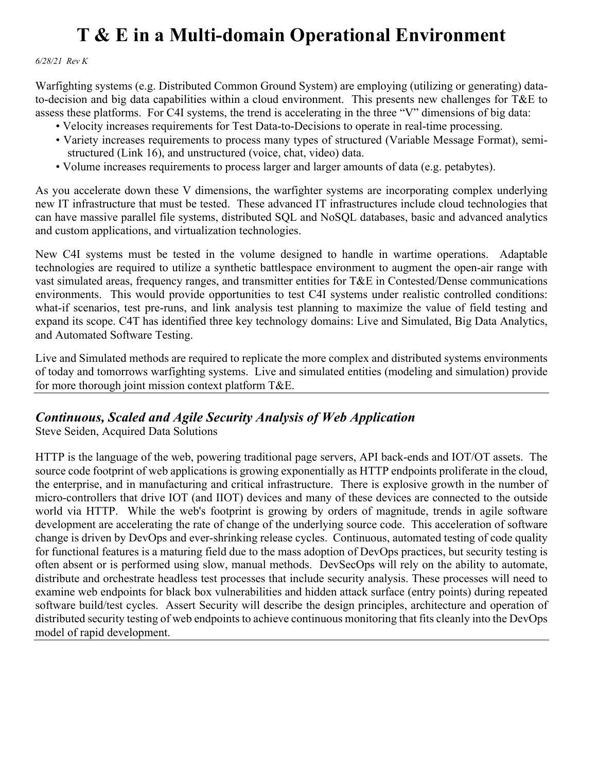*6/28/21 Rev K*

Warfighting systems (e.g. Distributed Common Ground System) are employing (utilizing or generating) datato-decision and big data capabilities within a cloud environment. This presents new challenges for T&E to assess these platforms. For C4I systems, the trend is accelerating in the three "V" dimensions of big data:

- Velocity increases requirements for Test Data-to-Decisions to operate in real-time processing.
- Variety increases requirements to process many types of structured (Variable Message Format), semi structured (Link 16), and unstructured (voice, chat, video) data.
- Volume increases requirements to process larger and larger amounts of data (e.g. petabytes).

As you accelerate down these V dimensions, the warfighter systems are incorporating complex underlying new IT infrastructure that must be tested. These advanced IT infrastructures include cloud technologies that can have massive parallel file systems, distributed SQL and NoSQL databases, basic and advanced analytics and custom applications, and virtualization technologies.

New C4I systems must be tested in the volume designed to handle in wartime operations. Adaptable technologies are required to utilize a synthetic battlespace environment to augment the open-air range with vast simulated areas, frequency ranges, and transmitter entities for T&E in Contested/Dense communications environments. This would provide opportunities to test C4I systems under realistic controlled conditions: what-if scenarios, test pre-runs, and link analysis test planning to maximize the value of field testing and expand its scope. C4T has identified three key technology domains: Live and Simulated, Big Data Analytics, and Automated Software Testing.

Live and Simulated methods are required to replicate the more complex and distributed systems environments of today and tomorrows warfighting systems. Live and simulated entities (modeling and simulation) provide for more thorough joint mission context platform T&E.

### *Continuous, Scaled and Agile Security Analysis of Web Application*

Steve Seiden, Acquired Data Solutions

HTTP is the language of the web, powering traditional page servers, API back-ends and IOT/OT assets. The source code footprint of web applications is growing exponentially as HTTP endpoints proliferate in the cloud, the enterprise, and in manufacturing and critical infrastructure. There is explosive growth in the number of micro-controllers that drive IOT (and IIOT) devices and many of these devices are connected to the outside world via HTTP. While the web's footprint is growing by orders of magnitude, trends in agile software development are accelerating the rate of change of the underlying source code. This acceleration of software change is driven by DevOps and ever-shrinking release cycles. Continuous, automated testing of code quality for functional features is a maturing field due to the mass adoption of DevOps practices, but security testing is often absent or is performed using slow, manual methods. DevSecOps will rely on the ability to automate, distribute and orchestrate headless test processes that include security analysis. These processes will need to examine web endpoints for black box vulnerabilities and hidden attack surface (entry points) during repeated software build/test cycles. Assert Security will describe the design principles, architecture and operation of distributed security testing of web endpoints to achieve continuous monitoring that fits cleanly into the DevOps model of rapid development.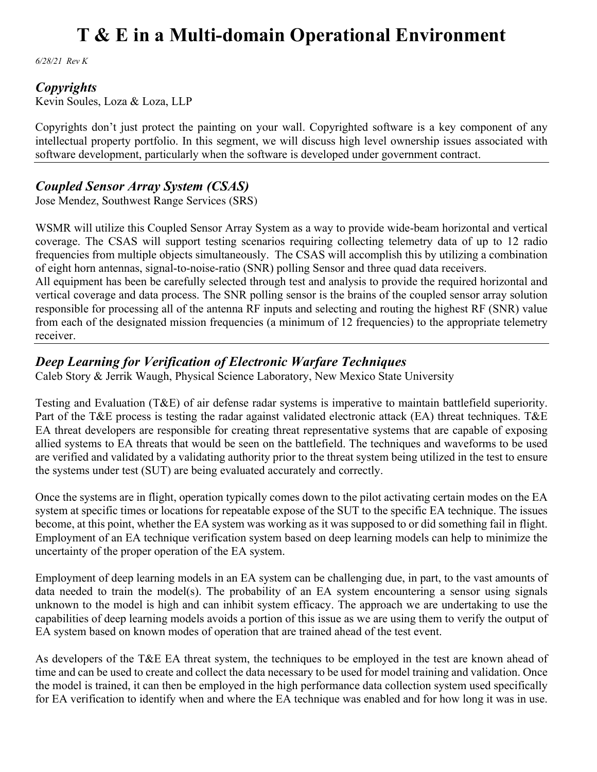*6/28/21 Rev K*

#### *Copyrights*

Kevin Soules, Loza & Loza, LLP

Copyrights don't just protect the painting on your wall. Copyrighted software is a key component of any intellectual property portfolio. In this segment, we will discuss high level ownership issues associated with software development, particularly when the software is developed under government contract.

### *Coupled Sensor Array System (CSAS)*

Jose Mendez, Southwest Range Services (SRS)

WSMR will utilize this Coupled Sensor Array System as a way to provide wide-beam horizontal and vertical coverage. The CSAS will support testing scenarios requiring collecting telemetry data of up to 12 radio frequencies from multiple objects simultaneously. The CSAS will accomplish this by utilizing a combination of eight horn antennas, signal-to-noise-ratio (SNR) polling Sensor and three quad data receivers.

All equipment has been be carefully selected through test and analysis to provide the required horizontal and vertical coverage and data process. The SNR polling sensor is the brains of the coupled sensor array solution responsible for processing all of the antenna RF inputs and selecting and routing the highest RF (SNR) value from each of the designated mission frequencies (a minimum of 12 frequencies) to the appropriate telemetry receiver.

### *Deep Learning for Verification of Electronic Warfare Techniques*

Caleb Story & Jerrik Waugh, Physical Science Laboratory, New Mexico State University

Testing and Evaluation (T&E) of air defense radar systems is imperative to maintain battlefield superiority. Part of the T&E process is testing the radar against validated electronic attack (EA) threat techniques. T&E EA threat developers are responsible for creating threat representative systems that are capable of exposing allied systems to EA threats that would be seen on the battlefield. The techniques and waveforms to be used are verified and validated by a validating authority prior to the threat system being utilized in the test to ensure the systems under test (SUT) are being evaluated accurately and correctly.

Once the systems are in flight, operation typically comes down to the pilot activating certain modes on the EA system at specific times or locations for repeatable expose of the SUT to the specific EA technique. The issues become, at this point, whether the EA system was working as it was supposed to or did something fail in flight. Employment of an EA technique verification system based on deep learning models can help to minimize the uncertainty of the proper operation of the EA system.

Employment of deep learning models in an EA system can be challenging due, in part, to the vast amounts of data needed to train the model(s). The probability of an EA system encountering a sensor using signals unknown to the model is high and can inhibit system efficacy. The approach we are undertaking to use the capabilities of deep learning models avoids a portion of this issue as we are using them to verify the output of EA system based on known modes of operation that are trained ahead of the test event.

As developers of the T&E EA threat system, the techniques to be employed in the test are known ahead of time and can be used to create and collect the data necessary to be used for model training and validation. Once the model is trained, it can then be employed in the high performance data collection system used specifically for EA verification to identify when and where the EA technique was enabled and for how long it was in use.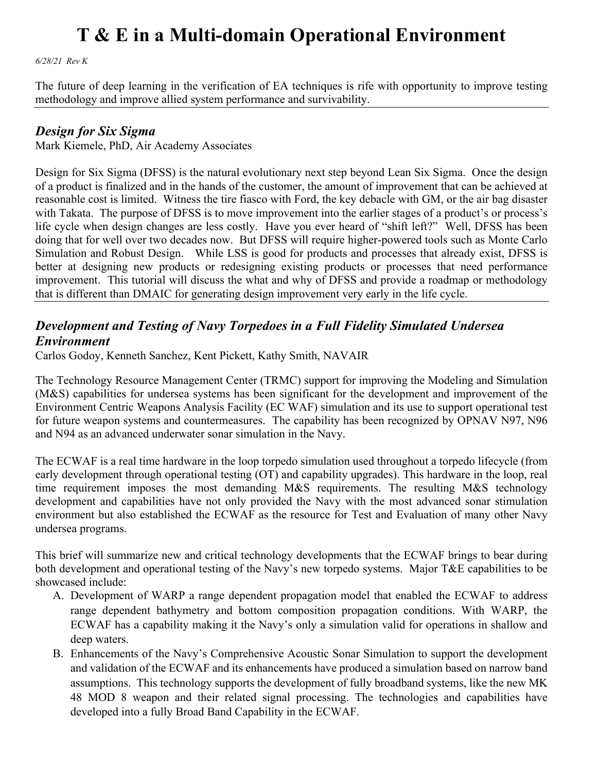*6/28/21 Rev K*

The future of deep learning in the verification of EA techniques is rife with opportunity to improve testing methodology and improve allied system performance and survivability.

#### *Design for Six Sigma*

Mark Kiemele, PhD, Air Academy Associates

Design for Six Sigma (DFSS) is the natural evolutionary next step beyond Lean Six Sigma. Once the design of a product is finalized and in the hands of the customer, the amount of improvement that can be achieved at reasonable cost is limited. Witness the tire fiasco with Ford, the key debacle with GM, or the air bag disaster with Takata. The purpose of DFSS is to move improvement into the earlier stages of a product's or process's life cycle when design changes are less costly. Have you ever heard of "shift left?" Well, DFSS has been doing that for well over two decades now. But DFSS will require higher-powered tools such as Monte Carlo Simulation and Robust Design. While LSS is good for products and processes that already exist, DFSS is better at designing new products or redesigning existing products or processes that need performance improvement. This tutorial will discuss the what and why of DFSS and provide a roadmap or methodology that is different than DMAIC for generating design improvement very early in the life cycle.

### *Development and Testing of Navy Torpedoes in a Full Fidelity Simulated Undersea Environment*

Carlos Godoy, Kenneth Sanchez, Kent Pickett, Kathy Smith, NAVAIR

The Technology Resource Management Center (TRMC) support for improving the Modeling and Simulation (M&S) capabilities for undersea systems has been significant for the development and improvement of the Environment Centric Weapons Analysis Facility (EC WAF) simulation and its use to support operational test for future weapon systems and countermeasures. The capability has been recognized by OPNAV N97, N96 and N94 as an advanced underwater sonar simulation in the Navy.

The ECWAF is a real time hardware in the loop torpedo simulation used throughout a torpedo lifecycle (from early development through operational testing (OT) and capability upgrades). This hardware in the loop, real time requirement imposes the most demanding M&S requirements. The resulting M&S technology development and capabilities have not only provided the Navy with the most advanced sonar stimulation environment but also established the ECWAF as the resource for Test and Evaluation of many other Navy undersea programs.

This brief will summarize new and critical technology developments that the ECWAF brings to bear during both development and operational testing of the Navy's new torpedo systems. Major T&E capabilities to be showcased include:

- A. Development of WARP a range dependent propagation model that enabled the ECWAF to address range dependent bathymetry and bottom composition propagation conditions. With WARP, the ECWAF has a capability making it the Navy's only a simulation valid for operations in shallow and deep waters.
- B. Enhancements of the Navy's Comprehensive Acoustic Sonar Simulation to support the development and validation of the ECWAF and its enhancements have produced a simulation based on narrow band assumptions. This technology supports the development of fully broadband systems, like the new MK 48 MOD 8 weapon and their related signal processing. The technologies and capabilities have developed into a fully Broad Band Capability in the ECWAF.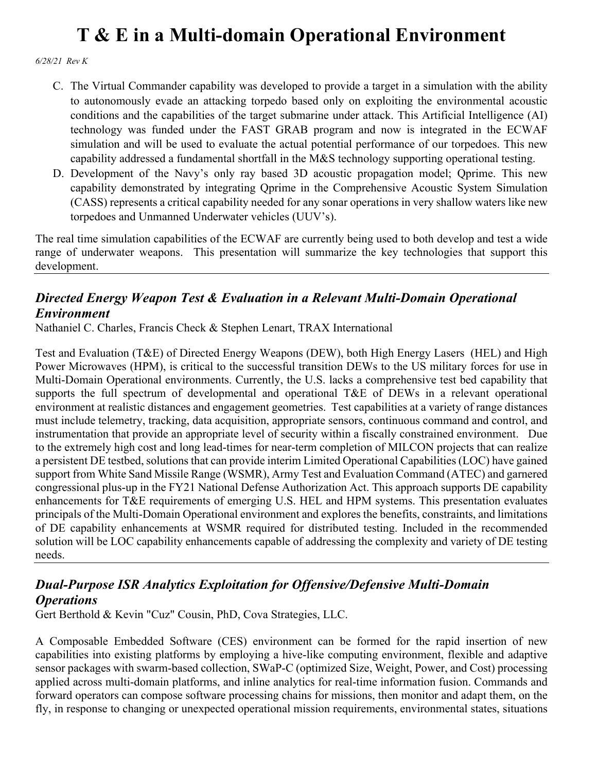*6/28/21 Rev K*

- C. The Virtual Commander capability was developed to provide a target in a simulation with the ability to autonomously evade an attacking torpedo based only on exploiting the environmental acoustic conditions and the capabilities of the target submarine under attack. This Artificial Intelligence (AI) technology was funded under the FAST GRAB program and now is integrated in the ECWAF simulation and will be used to evaluate the actual potential performance of our torpedoes. This new capability addressed a fundamental shortfall in the M&S technology supporting operational testing.
- D. Development of the Navy's only ray based 3D acoustic propagation model; Qprime. This new capability demonstrated by integrating Qprime in the Comprehensive Acoustic System Simulation (CASS) represents a critical capability needed for any sonar operations in very shallow waters like new torpedoes and Unmanned Underwater vehicles (UUV's).

The real time simulation capabilities of the ECWAF are currently being used to both develop and test a wide range of underwater weapons. This presentation will summarize the key technologies that support this development.

### *Directed Energy Weapon Test & Evaluation in a Relevant Multi-Domain Operational Environment*

Nathaniel C. Charles, Francis Check & Stephen Lenart, TRAX International

Test and Evaluation (T&E) of Directed Energy Weapons (DEW), both High Energy Lasers (HEL) and High Power Microwaves (HPM), is critical to the successful transition DEWs to the US military forces for use in Multi-Domain Operational environments. Currently, the U.S. lacks a comprehensive test bed capability that supports the full spectrum of developmental and operational T&E of DEWs in a relevant operational environment at realistic distances and engagement geometries. Test capabilities at a variety of range distances must include telemetry, tracking, data acquisition, appropriate sensors, continuous command and control, and instrumentation that provide an appropriate level of security within a fiscally constrained environment. Due to the extremely high cost and long lead-times for near-term completion of MILCON projects that can realize a persistent DE testbed, solutions that can provide interim Limited Operational Capabilities (LOC) have gained support from White Sand Missile Range (WSMR), Army Test and Evaluation Command (ATEC) and garnered congressional plus-up in the FY21 National Defense Authorization Act. This approach supports DE capability enhancements for T&E requirements of emerging U.S. HEL and HPM systems. This presentation evaluates principals of the Multi-Domain Operational environment and explores the benefits, constraints, and limitations of DE capability enhancements at WSMR required for distributed testing. Included in the recommended solution will be LOC capability enhancements capable of addressing the complexity and variety of DE testing needs.

### *Dual-Purpose ISR Analytics Exploitation for Offensive/Defensive Multi-Domain Operations*

Gert Berthold & Kevin "Cuz" Cousin, PhD, Cova Strategies, LLC.

A Composable Embedded Software (CES) environment can be formed for the rapid insertion of new capabilities into existing platforms by employing a hive-like computing environment, flexible and adaptive sensor packages with swarm-based collection, SWaP-C (optimized Size, Weight, Power, and Cost) processing applied across multi-domain platforms, and inline analytics for real-time information fusion. Commands and forward operators can compose software processing chains for missions, then monitor and adapt them, on the fly, in response to changing or unexpected operational mission requirements, environmental states, situations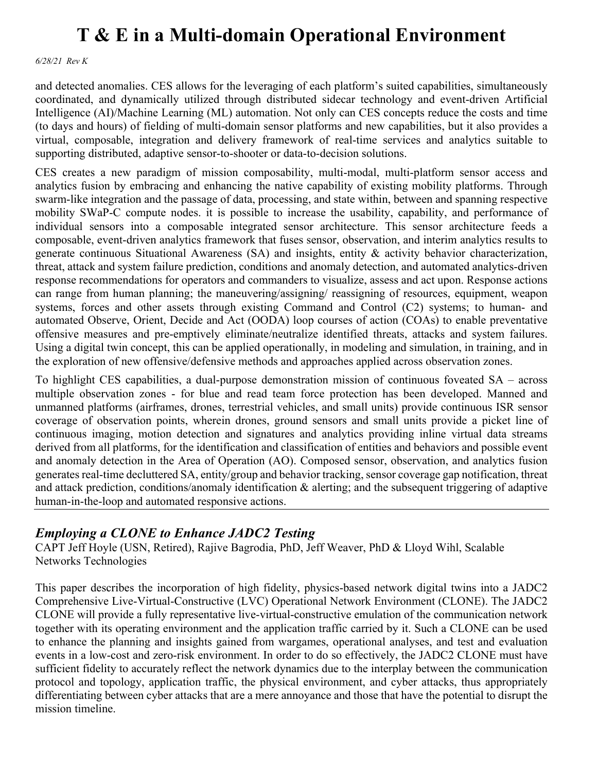*6/28/21 Rev K*

and detected anomalies. CES allows for the leveraging of each platform's suited capabilities, simultaneously coordinated, and dynamically utilized through distributed sidecar technology and event-driven Artificial Intelligence (AI)/Machine Learning (ML) automation. Not only can CES concepts reduce the costs and time (to days and hours) of fielding of multi-domain sensor platforms and new capabilities, but it also provides a virtual, composable, integration and delivery framework of real-time services and analytics suitable to supporting distributed, adaptive sensor-to-shooter or data-to-decision solutions.

CES creates a new paradigm of mission composability, multi-modal, multi-platform sensor access and analytics fusion by embracing and enhancing the native capability of existing mobility platforms. Through swarm-like integration and the passage of data, processing, and state within, between and spanning respective mobility SWaP-C compute nodes. it is possible to increase the usability, capability, and performance of individual sensors into a composable integrated sensor architecture. This sensor architecture feeds a composable, event-driven analytics framework that fuses sensor, observation, and interim analytics results to generate continuous Situational Awareness (SA) and insights, entity & activity behavior characterization, threat, attack and system failure prediction, conditions and anomaly detection, and automated analytics-driven response recommendations for operators and commanders to visualize, assess and act upon. Response actions can range from human planning; the maneuvering/assigning/ reassigning of resources, equipment, weapon systems, forces and other assets through existing Command and Control (C2) systems; to human- and automated Observe, Orient, Decide and Act (OODA) loop courses of action (COAs) to enable preventative offensive measures and pre-emptively eliminate/neutralize identified threats, attacks and system failures. Using a digital twin concept, this can be applied operationally, in modeling and simulation, in training, and in the exploration of new offensive/defensive methods and approaches applied across observation zones.

To highlight CES capabilities, a dual-purpose demonstration mission of continuous foveated SA – across multiple observation zones - for blue and read team force protection has been developed. Manned and unmanned platforms (airframes, drones, terrestrial vehicles, and small units) provide continuous ISR sensor coverage of observation points, wherein drones, ground sensors and small units provide a picket line of continuous imaging, motion detection and signatures and analytics providing inline virtual data streams derived from all platforms, for the identification and classification of entities and behaviors and possible event and anomaly detection in the Area of Operation (AO). Composed sensor, observation, and analytics fusion generates real-time decluttered SA, entity/group and behavior tracking, sensor coverage gap notification, threat and attack prediction, conditions/anomaly identification & alerting; and the subsequent triggering of adaptive human-in-the-loop and automated responsive actions.

### *Employing a CLONE to Enhance JADC2 Testing*

CAPT Jeff Hoyle (USN, Retired), Rajive Bagrodia, PhD, Jeff Weaver, PhD & Lloyd Wihl, Scalable Networks Technologies

This paper describes the incorporation of high fidelity, physics-based network digital twins into a JADC2 Comprehensive Live-Virtual-Constructive (LVC) Operational Network Environment (CLONE). The JADC2 CLONE will provide a fully representative live-virtual-constructive emulation of the communication network together with its operating environment and the application traffic carried by it. Such a CLONE can be used to enhance the planning and insights gained from wargames, operational analyses, and test and evaluation events in a low-cost and zero-risk environment. In order to do so effectively, the JADC2 CLONE must have sufficient fidelity to accurately reflect the network dynamics due to the interplay between the communication protocol and topology, application traffic, the physical environment, and cyber attacks, thus appropriately differentiating between cyber attacks that are a mere annoyance and those that have the potential to disrupt the mission timeline.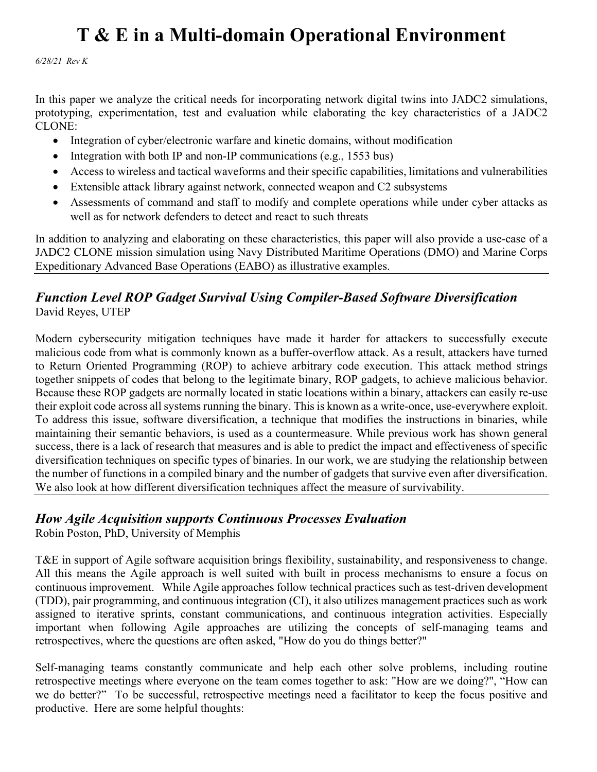*6/28/21 Rev K*

In this paper we analyze the critical needs for incorporating network digital twins into JADC2 simulations, prototyping, experimentation, test and evaluation while elaborating the key characteristics of a JADC2 CLONE:

- Integration of cyber/electronic warfare and kinetic domains, without modification
- Integration with both IP and non-IP communications (e.g., 1553 bus)
- Access to wireless and tactical waveforms and their specific capabilities, limitations and vulnerabilities
- Extensible attack library against network, connected weapon and C2 subsystems
- Assessments of command and staff to modify and complete operations while under cyber attacks as well as for network defenders to detect and react to such threats

In addition to analyzing and elaborating on these characteristics, this paper will also provide a use-case of a JADC2 CLONE mission simulation using Navy Distributed Maritime Operations (DMO) and Marine Corps Expeditionary Advanced Base Operations (EABO) as illustrative examples.

### *Function Level ROP Gadget Survival Using Compiler-Based Software Diversification* David Reyes, UTEP

Modern cybersecurity mitigation techniques have made it harder for attackers to successfully execute malicious code from what is commonly known as a buffer-overflow attack. As a result, attackers have turned to Return Oriented Programming (ROP) to achieve arbitrary code execution. This attack method strings together snippets of codes that belong to the legitimate binary, ROP gadgets, to achieve malicious behavior. Because these ROP gadgets are normally located in static locations within a binary, attackers can easily re-use their exploit code across all systems running the binary. This is known as a write-once, use-everywhere exploit. To address this issue, software diversification, a technique that modifies the instructions in binaries, while maintaining their semantic behaviors, is used as a countermeasure. While previous work has shown general success, there is a lack of research that measures and is able to predict the impact and effectiveness of specific diversification techniques on specific types of binaries. In our work, we are studying the relationship between the number of functions in a compiled binary and the number of gadgets that survive even after diversification. We also look at how different diversification techniques affect the measure of survivability.

### *How Agile Acquisition supports Continuous Processes Evaluation*

Robin Poston, PhD, University of Memphis

T&E in support of Agile software acquisition brings flexibility, sustainability, and responsiveness to change. All this means the Agile approach is well suited with built in process mechanisms to ensure a focus on continuous improvement. While Agile approaches follow technical practices such as test-driven development (TDD), pair programming, and continuous integration (CI), it also utilizes management practices such as work assigned to iterative sprints, constant communications, and continuous integration activities. Especially important when following Agile approaches are utilizing the concepts of self-managing teams and retrospectives, where the questions are often asked, "How do you do things better?"

Self-managing teams constantly communicate and help each other solve problems, including routine retrospective meetings where everyone on the team comes together to ask: "How are we doing?", "How can we do better?" To be successful, retrospective meetings need a facilitator to keep the focus positive and productive. Here are some helpful thoughts: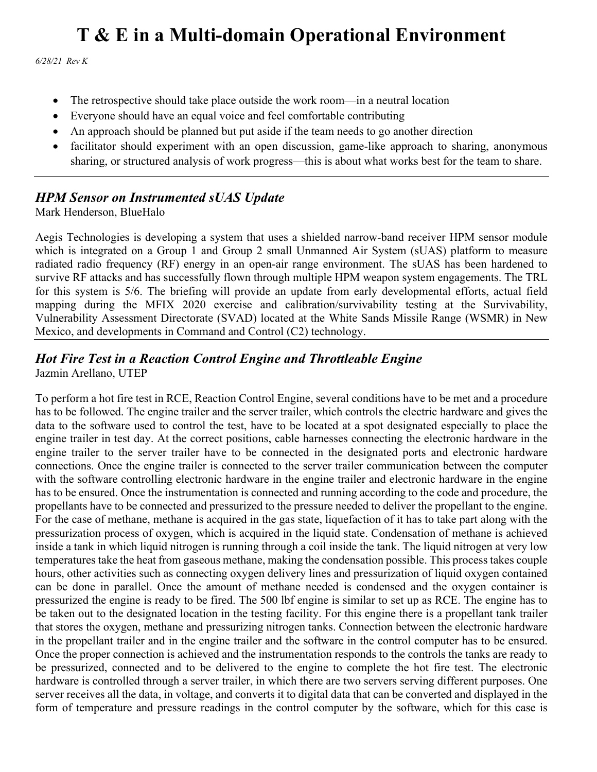*6/28/21 Rev K*

- The retrospective should take place outside the work room—in a neutral location
- Everyone should have an equal voice and feel comfortable contributing
- An approach should be planned but put aside if the team needs to go another direction
- facilitator should experiment with an open discussion, game-like approach to sharing, anonymous sharing, or structured analysis of work progress—this is about what works best for the team to share.

### *HPM Sensor on Instrumented sUAS Update*

Mark Henderson, BlueHalo

Aegis Technologies is developing a system that uses a shielded narrow-band receiver HPM sensor module which is integrated on a Group 1 and Group 2 small Unmanned Air System (sUAS) platform to measure radiated radio frequency (RF) energy in an open-air range environment. The sUAS has been hardened to survive RF attacks and has successfully flown through multiple HPM weapon system engagements. The TRL for this system is 5/6. The briefing will provide an update from early developmental efforts, actual field mapping during the MFIX 2020 exercise and calibration/survivability testing at the Survivability, Vulnerability Assessment Directorate (SVAD) located at the White Sands Missile Range (WSMR) in New Mexico, and developments in Command and Control (C2) technology.

#### *Hot Fire Test in a Reaction Control Engine and Throttleable Engine* Jazmin Arellano, UTEP

To perform a hot fire test in RCE, Reaction Control Engine, several conditions have to be met and a procedure has to be followed. The engine trailer and the server trailer, which controls the electric hardware and gives the data to the software used to control the test, have to be located at a spot designated especially to place the engine trailer in test day. At the correct positions, cable harnesses connecting the electronic hardware in the engine trailer to the server trailer have to be connected in the designated ports and electronic hardware connections. Once the engine trailer is connected to the server trailer communication between the computer with the software controlling electronic hardware in the engine trailer and electronic hardware in the engine has to be ensured. Once the instrumentation is connected and running according to the code and procedure, the propellants have to be connected and pressurized to the pressure needed to deliver the propellant to the engine. For the case of methane, methane is acquired in the gas state, liquefaction of it has to take part along with the pressurization process of oxygen, which is acquired in the liquid state. Condensation of methane is achieved inside a tank in which liquid nitrogen is running through a coil inside the tank. The liquid nitrogen at very low temperatures take the heat from gaseous methane, making the condensation possible. This process takes couple hours, other activities such as connecting oxygen delivery lines and pressurization of liquid oxygen contained can be done in parallel. Once the amount of methane needed is condensed and the oxygen container is pressurized the engine is ready to be fired. The 500 lbf engine is similar to set up as RCE. The engine has to be taken out to the designated location in the testing facility. For this engine there is a propellant tank trailer that stores the oxygen, methane and pressurizing nitrogen tanks. Connection between the electronic hardware in the propellant trailer and in the engine trailer and the software in the control computer has to be ensured. Once the proper connection is achieved and the instrumentation responds to the controls the tanks are ready to be pressurized, connected and to be delivered to the engine to complete the hot fire test. The electronic hardware is controlled through a server trailer, in which there are two servers serving different purposes. One server receives all the data, in voltage, and converts it to digital data that can be converted and displayed in the form of temperature and pressure readings in the control computer by the software, which for this case is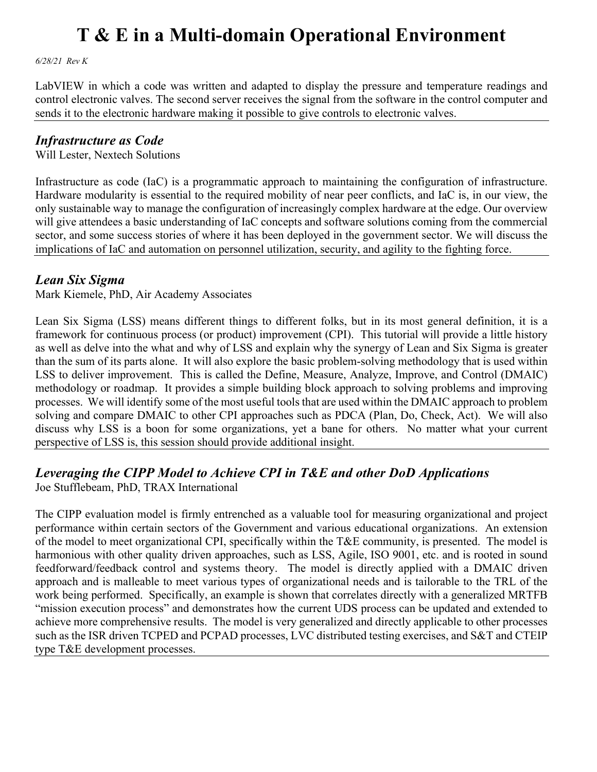*6/28/21 Rev K*

LabVIEW in which a code was written and adapted to display the pressure and temperature readings and control electronic valves. The second server receives the signal from the software in the control computer and sends it to the electronic hardware making it possible to give controls to electronic valves.

### *Infrastructure as Code*

Will Lester, Nextech Solutions

Infrastructure as code (IaC) is a programmatic approach to maintaining the configuration of infrastructure. Hardware modularity is essential to the required mobility of near peer conflicts, and IaC is, in our view, the only sustainable way to manage the configuration of increasingly complex hardware at the edge. Our overview will give attendees a basic understanding of IaC concepts and software solutions coming from the commercial sector, and some success stories of where it has been deployed in the government sector. We will discuss the implications of IaC and automation on personnel utilization, security, and agility to the fighting force.

### *Lean Six Sigma*

Mark Kiemele, PhD, Air Academy Associates

Lean Six Sigma (LSS) means different things to different folks, but in its most general definition, it is a framework for continuous process (or product) improvement (CPI). This tutorial will provide a little history as well as delve into the what and why of LSS and explain why the synergy of Lean and Six Sigma is greater than the sum of its parts alone. It will also explore the basic problem-solving methodology that is used within LSS to deliver improvement. This is called the Define, Measure, Analyze, Improve, and Control (DMAIC) methodology or roadmap. It provides a simple building block approach to solving problems and improving processes. We will identify some of the most useful tools that are used within the DMAIC approach to problem solving and compare DMAIC to other CPI approaches such as PDCA (Plan, Do, Check, Act). We will also discuss why LSS is a boon for some organizations, yet a bane for others. No matter what your current perspective of LSS is, this session should provide additional insight.

### *Leveraging the CIPP Model to Achieve CPI in T&E and other DoD Applications*

Joe Stufflebeam, PhD, TRAX International

The CIPP evaluation model is firmly entrenched as a valuable tool for measuring organizational and project performance within certain sectors of the Government and various educational organizations. An extension of the model to meet organizational CPI, specifically within the T&E community, is presented. The model is harmonious with other quality driven approaches, such as LSS, Agile, ISO 9001, etc. and is rooted in sound feedforward/feedback control and systems theory. The model is directly applied with a DMAIC driven approach and is malleable to meet various types of organizational needs and is tailorable to the TRL of the work being performed. Specifically, an example is shown that correlates directly with a generalized MRTFB "mission execution process" and demonstrates how the current UDS process can be updated and extended to achieve more comprehensive results. The model is very generalized and directly applicable to other processes such as the ISR driven TCPED and PCPAD processes, LVC distributed testing exercises, and S&T and CTEIP type T&E development processes.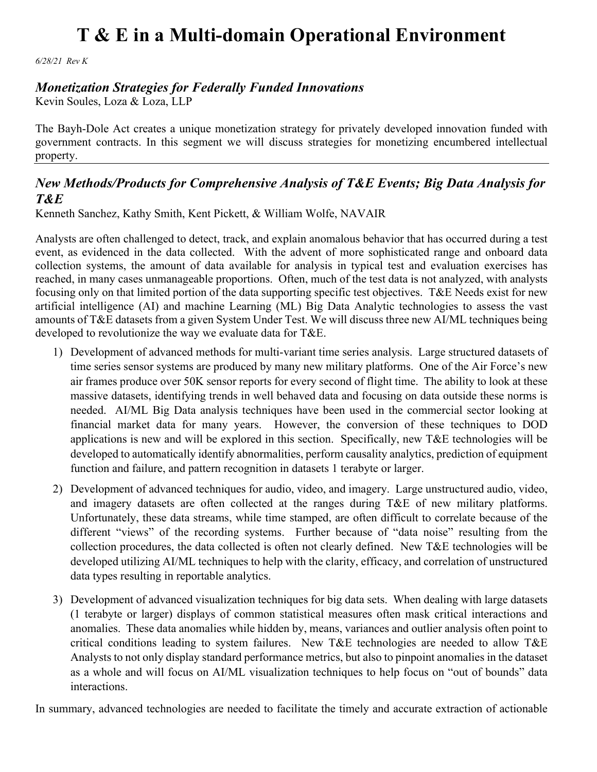*6/28/21 Rev K*

### *Monetization Strategies for Federally Funded Innovations*

Kevin Soules, Loza & Loza, LLP

The Bayh-Dole Act creates a unique monetization strategy for privately developed innovation funded with government contracts. In this segment we will discuss strategies for monetizing encumbered intellectual property.

### *New Methods/Products for Comprehensive Analysis of T&E Events; Big Data Analysis for T&E*

Kenneth Sanchez, Kathy Smith, Kent Pickett, & William Wolfe, NAVAIR

Analysts are often challenged to detect, track, and explain anomalous behavior that has occurred during a test event, as evidenced in the data collected. With the advent of more sophisticated range and onboard data collection systems, the amount of data available for analysis in typical test and evaluation exercises has reached, in many cases unmanageable proportions. Often, much of the test data is not analyzed, with analysts focusing only on that limited portion of the data supporting specific test objectives. T&E Needs exist for new artificial intelligence (AI) and machine Learning (ML) Big Data Analytic technologies to assess the vast amounts of T&E datasets from a given System Under Test. We will discuss three new AI/ML techniques being developed to revolutionize the way we evaluate data for T&E.

- 1) Development of advanced methods for multi-variant time series analysis. Large structured datasets of time series sensor systems are produced by many new military platforms. One of the Air Force's new air frames produce over 50K sensor reports for every second of flight time. The ability to look at these massive datasets, identifying trends in well behaved data and focusing on data outside these norms is needed. AI/ML Big Data analysis techniques have been used in the commercial sector looking at financial market data for many years. However, the conversion of these techniques to DOD applications is new and will be explored in this section. Specifically, new T&E technologies will be developed to automatically identify abnormalities, perform causality analytics, prediction of equipment function and failure, and pattern recognition in datasets 1 terabyte or larger.
- 2) Development of advanced techniques for audio, video, and imagery. Large unstructured audio, video, and imagery datasets are often collected at the ranges during T&E of new military platforms. Unfortunately, these data streams, while time stamped, are often difficult to correlate because of the different "views" of the recording systems. Further because of "data noise" resulting from the collection procedures, the data collected is often not clearly defined. New T&E technologies will be developed utilizing AI/ML techniques to help with the clarity, efficacy, and correlation of unstructured data types resulting in reportable analytics.
- 3) Development of advanced visualization techniques for big data sets. When dealing with large datasets (1 terabyte or larger) displays of common statistical measures often mask critical interactions and anomalies. These data anomalies while hidden by, means, variances and outlier analysis often point to critical conditions leading to system failures. New T&E technologies are needed to allow T&E Analysts to not only display standard performance metrics, but also to pinpoint anomalies in the dataset as a whole and will focus on AI/ML visualization techniques to help focus on "out of bounds" data interactions.

In summary, advanced technologies are needed to facilitate the timely and accurate extraction of actionable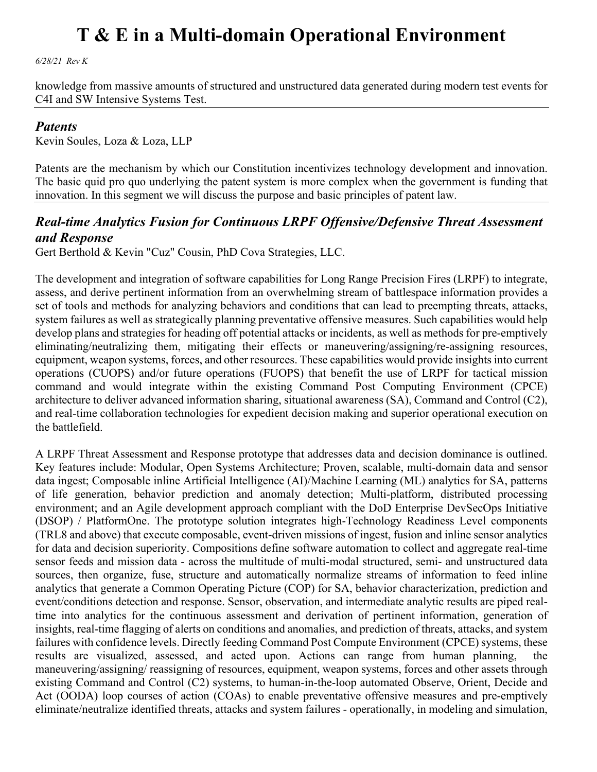*6/28/21 Rev K*

knowledge from massive amounts of structured and unstructured data generated during modern test events for C4I and SW Intensive Systems Test.

#### *Patents*

Kevin Soules, Loza & Loza, LLP

Patents are the mechanism by which our Constitution incentivizes technology development and innovation. The basic quid pro quo underlying the patent system is more complex when the government is funding that innovation. In this segment we will discuss the purpose and basic principles of patent law.

#### *Real-time Analytics Fusion for Continuous LRPF Offensive/Defensive Threat Assessment and Response*

Gert Berthold & Kevin "Cuz" Cousin, PhD Cova Strategies, LLC.

The development and integration of software capabilities for Long Range Precision Fires (LRPF) to integrate, assess, and derive pertinent information from an overwhelming stream of battlespace information provides a set of tools and methods for analyzing behaviors and conditions that can lead to preempting threats, attacks, system failures as well as strategically planning preventative offensive measures. Such capabilities would help develop plans and strategies for heading off potential attacks or incidents, as well as methods for pre-emptively eliminating/neutralizing them, mitigating their effects or maneuvering/assigning/re-assigning resources, equipment, weapon systems, forces, and other resources. These capabilities would provide insights into current operations (CUOPS) and/or future operations (FUOPS) that benefit the use of LRPF for tactical mission command and would integrate within the existing Command Post Computing Environment (CPCE) architecture to deliver advanced information sharing, situational awareness (SA), Command and Control (C2), and real-time collaboration technologies for expedient decision making and superior operational execution on the battlefield.

A LRPF Threat Assessment and Response prototype that addresses data and decision dominance is outlined. Key features include: Modular, Open Systems Architecture; Proven, scalable, multi-domain data and sensor data ingest; Composable inline Artificial Intelligence (AI)/Machine Learning (ML) analytics for SA, patterns of life generation, behavior prediction and anomaly detection; Multi-platform, distributed processing environment; and an Agile development approach compliant with the DoD Enterprise DevSecOps Initiative (DSOP) / PlatformOne. The prototype solution integrates high-Technology Readiness Level components (TRL8 and above) that execute composable, event-driven missions of ingest, fusion and inline sensor analytics for data and decision superiority. Compositions define software automation to collect and aggregate real-time sensor feeds and mission data - across the multitude of multi-modal structured, semi- and unstructured data sources, then organize, fuse, structure and automatically normalize streams of information to feed inline analytics that generate a Common Operating Picture (COP) for SA, behavior characterization, prediction and event/conditions detection and response. Sensor, observation, and intermediate analytic results are piped realtime into analytics for the continuous assessment and derivation of pertinent information, generation of insights, real-time flagging of alerts on conditions and anomalies, and prediction of threats, attacks, and system failures with confidence levels. Directly feeding Command Post Compute Environment (CPCE) systems, these results are visualized, assessed, and acted upon. Actions can range from human planning, the maneuvering/assigning/ reassigning of resources, equipment, weapon systems, forces and other assets through existing Command and Control (C2) systems, to human-in-the-loop automated Observe, Orient, Decide and Act (OODA) loop courses of action (COAs) to enable preventative offensive measures and pre-emptively eliminate/neutralize identified threats, attacks and system failures - operationally, in modeling and simulation,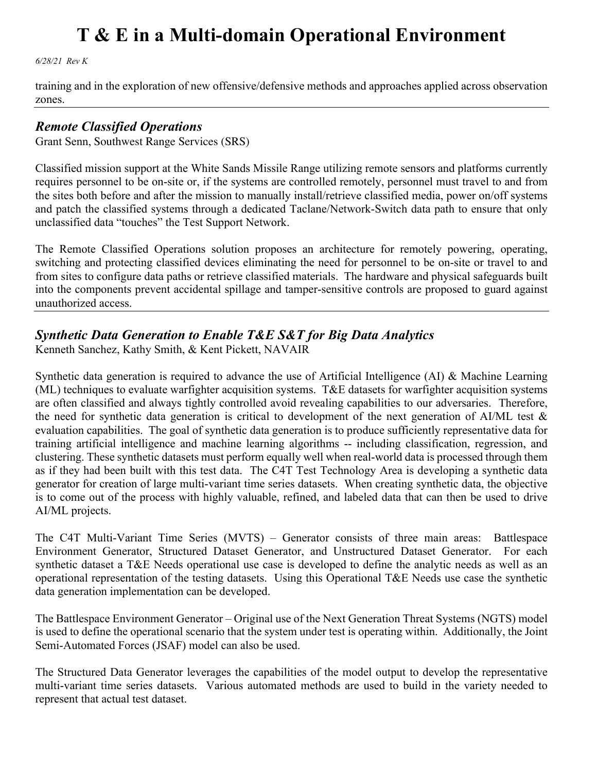*6/28/21 Rev K*

training and in the exploration of new offensive/defensive methods and approaches applied across observation zones.

#### *Remote Classified Operations*

Grant Senn, Southwest Range Services (SRS)

Classified mission support at the White Sands Missile Range utilizing remote sensors and platforms currently requires personnel to be on-site or, if the systems are controlled remotely, personnel must travel to and from the sites both before and after the mission to manually install/retrieve classified media, power on/off systems and patch the classified systems through a dedicated Taclane/Network-Switch data path to ensure that only unclassified data "touches" the Test Support Network.

The Remote Classified Operations solution proposes an architecture for remotely powering, operating, switching and protecting classified devices eliminating the need for personnel to be on-site or travel to and from sites to configure data paths or retrieve classified materials. The hardware and physical safeguards built into the components prevent accidental spillage and tamper-sensitive controls are proposed to guard against unauthorized access.

### *Synthetic Data Generation to Enable T&E S&T for Big Data Analytics*

Kenneth Sanchez, Kathy Smith, & Kent Pickett, NAVAIR

Synthetic data generation is required to advance the use of Artificial Intelligence (AI) & Machine Learning (ML) techniques to evaluate warfighter acquisition systems. T&E datasets for warfighter acquisition systems are often classified and always tightly controlled avoid revealing capabilities to our adversaries. Therefore, the need for synthetic data generation is critical to development of the next generation of AI/ML test & evaluation capabilities. The goal of synthetic data generation is to produce sufficiently representative data for training artificial intelligence and machine learning algorithms -- including classification, regression, and clustering. These synthetic datasets must perform equally well when real-world data is processed through them as if they had been built with this test data. The C4T Test Technology Area is developing a synthetic data generator for creation of large multi-variant time series datasets. When creating synthetic data, the objective is to come out of the process with highly valuable, refined, and labeled data that can then be used to drive AI/ML projects.

The C4T Multi-Variant Time Series (MVTS) – Generator consists of three main areas: Battlespace Environment Generator, Structured Dataset Generator, and Unstructured Dataset Generator. For each synthetic dataset a T&E Needs operational use case is developed to define the analytic needs as well as an operational representation of the testing datasets. Using this Operational T&E Needs use case the synthetic data generation implementation can be developed.

The Battlespace Environment Generator – Original use of the Next Generation Threat Systems (NGTS) model is used to define the operational scenario that the system under test is operating within. Additionally, the Joint Semi-Automated Forces (JSAF) model can also be used.

The Structured Data Generator leverages the capabilities of the model output to develop the representative multi-variant time series datasets. Various automated methods are used to build in the variety needed to represent that actual test dataset.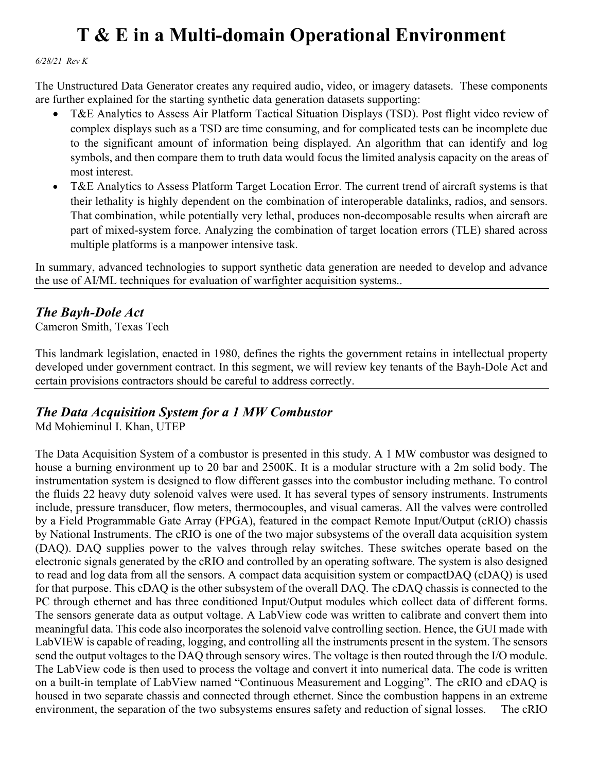#### *6/28/21 Rev K*

The Unstructured Data Generator creates any required audio, video, or imagery datasets. These components are further explained for the starting synthetic data generation datasets supporting:

- T&E Analytics to Assess Air Platform Tactical Situation Displays (TSD). Post flight video review of complex displays such as a TSD are time consuming, and for complicated tests can be incomplete due to the significant amount of information being displayed. An algorithm that can identify and log symbols, and then compare them to truth data would focus the limited analysis capacity on the areas of most interest.
- T&E Analytics to Assess Platform Target Location Error. The current trend of aircraft systems is that their lethality is highly dependent on the combination of interoperable datalinks, radios, and sensors. That combination, while potentially very lethal, produces non-decomposable results when aircraft are part of mixed-system force. Analyzing the combination of target location errors (TLE) shared across multiple platforms is a manpower intensive task.

In summary, advanced technologies to support synthetic data generation are needed to develop and advance the use of AI/ML techniques for evaluation of warfighter acquisition systems..

### *The Bayh-Dole Act*

Cameron Smith, Texas Tech

This landmark legislation, enacted in 1980, defines the rights the government retains in intellectual property developed under government contract. In this segment, we will review key tenants of the Bayh-Dole Act and certain provisions contractors should be careful to address correctly.

### *The Data Acquisition System for a 1 MW Combustor*

Md Mohieminul I. Khan, UTEP

The Data Acquisition System of a combustor is presented in this study. A 1 MW combustor was designed to house a burning environment up to 20 bar and 2500K. It is a modular structure with a 2m solid body. The instrumentation system is designed to flow different gasses into the combustor including methane. To control the fluids 22 heavy duty solenoid valves were used. It has several types of sensory instruments. Instruments include, pressure transducer, flow meters, thermocouples, and visual cameras. All the valves were controlled by a Field Programmable Gate Array (FPGA), featured in the compact Remote Input/Output (cRIO) chassis by National Instruments. The cRIO is one of the two major subsystems of the overall data acquisition system (DAQ). DAQ supplies power to the valves through relay switches. These switches operate based on the electronic signals generated by the cRIO and controlled by an operating software. The system is also designed to read and log data from all the sensors. A compact data acquisition system or compactDAQ (cDAQ) is used for that purpose. This cDAQ is the other subsystem of the overall DAQ. The cDAQ chassis is connected to the PC through ethernet and has three conditioned Input/Output modules which collect data of different forms. The sensors generate data as output voltage. A LabView code was written to calibrate and convert them into meaningful data. This code also incorporates the solenoid valve controlling section. Hence, the GUI made with LabVIEW is capable of reading, logging, and controlling all the instruments present in the system. The sensors send the output voltages to the DAQ through sensory wires. The voltage is then routed through the I/O module. The LabView code is then used to process the voltage and convert it into numerical data. The code is written on a built-in template of LabView named "Continuous Measurement and Logging". The cRIO and cDAQ is housed in two separate chassis and connected through ethernet. Since the combustion happens in an extreme environment, the separation of the two subsystems ensures safety and reduction of signal losses. The cRIO